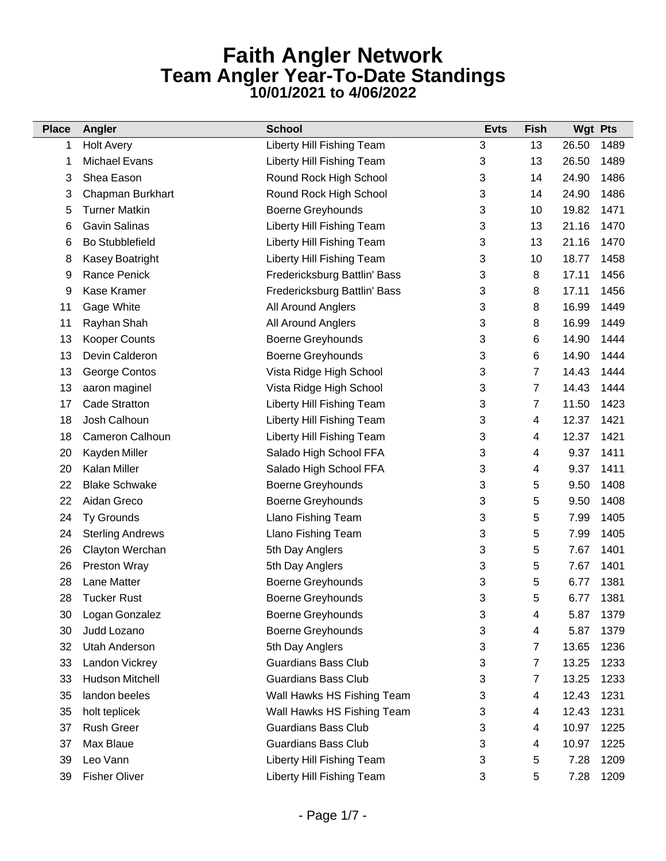| <b>Place</b> | Angler                  | <b>School</b>                | <b>Evts</b> | <b>Fish</b> | <b>Wgt Pts</b> |
|--------------|-------------------------|------------------------------|-------------|-------------|----------------|
| 1            | <b>Holt Avery</b>       | Liberty Hill Fishing Team    | 3           | 13          | 26.50<br>1489  |
| 1            | <b>Michael Evans</b>    | Liberty Hill Fishing Team    | 3           | 13          | 26.50<br>1489  |
| 3            | Shea Eason              | Round Rock High School       | 3           | 14          | 24.90<br>1486  |
| 3            | Chapman Burkhart        | Round Rock High School       | 3           | 14          | 24.90<br>1486  |
| 5            | <b>Turner Matkin</b>    | Boerne Greyhounds            | 3           | 10          | 19.82<br>1471  |
| 6            | <b>Gavin Salinas</b>    | Liberty Hill Fishing Team    | 3           | 13          | 21.16<br>1470  |
| 6            | <b>Bo Stubblefield</b>  | Liberty Hill Fishing Team    | 3           | 13          | 21.16<br>1470  |
| 8            | Kasey Boatright         | Liberty Hill Fishing Team    | 3           | 10          | 18.77<br>1458  |
| 9            | Rance Penick            | Fredericksburg Battlin' Bass | 3           | 8           | 17.11<br>1456  |
| 9            | Kase Kramer             | Fredericksburg Battlin' Bass | 3           | 8           | 17.11<br>1456  |
| 11           | Gage White              | All Around Anglers           | 3           | 8           | 16.99<br>1449  |
| 11           | Rayhan Shah             | All Around Anglers           | 3           | 8           | 16.99<br>1449  |
| 13           | <b>Kooper Counts</b>    | Boerne Greyhounds            | 3           | 6           | 1444<br>14.90  |
| 13           | Devin Calderon          | Boerne Greyhounds            | 3           | 6           | 14.90<br>1444  |
| 13           | George Contos           | Vista Ridge High School      | 3           | 7           | 14.43<br>1444  |
| 13           | aaron maginel           | Vista Ridge High School      | 3           | 7           | 14.43<br>1444  |
| 17           | <b>Cade Stratton</b>    | Liberty Hill Fishing Team    | 3           | 7           | 11.50<br>1423  |
| 18           | Josh Calhoun            | Liberty Hill Fishing Team    | 3           | 4           | 12.37<br>1421  |
| 18           | Cameron Calhoun         | Liberty Hill Fishing Team    | 3           | 4           | 12.37<br>1421  |
| 20           | Kayden Miller           | Salado High School FFA       | 3           | 4           | 9.37<br>1411   |
| 20           | <b>Kalan Miller</b>     | Salado High School FFA       | 3           | 4           | 9.37<br>1411   |
| 22           | <b>Blake Schwake</b>    | Boerne Greyhounds            | 3           | 5           | 1408<br>9.50   |
| 22           | Aidan Greco             | Boerne Greyhounds            | 3           | 5           | 1408<br>9.50   |
| 24           | Ty Grounds              | Llano Fishing Team           | 3           | 5           | 7.99<br>1405   |
| 24           | <b>Sterling Andrews</b> | Llano Fishing Team           | 3           | 5           | 1405<br>7.99   |
| 26           | Clayton Werchan         | 5th Day Anglers              | 3           | 5           | 7.67<br>1401   |
| 26           | Preston Wray            | 5th Day Anglers              | 3           | 5           | 1401<br>7.67   |
| 28           | Lane Matter             | Boerne Greyhounds            | 3           | 5           | 1381<br>6.77   |
| 28           | <b>Tucker Rust</b>      | Boerne Greyhounds            | 3           | 5           | 6.77<br>1381   |
| 30           | Logan Gonzalez          | <b>Boerne Greyhounds</b>     | 3           | 4           | 5.87<br>1379   |
| 30           | Judd Lozano             | Boerne Greyhounds            | 3           | 4           | 1379<br>5.87   |
| 32           | <b>Utah Anderson</b>    | 5th Day Anglers              | 3           | 7           | 13.65<br>1236  |
| 33           | Landon Vickrey          | <b>Guardians Bass Club</b>   | 3           | 7           | 13.25<br>1233  |
| 33           | Hudson Mitchell         | <b>Guardians Bass Club</b>   | 3           | 7           | 13.25<br>1233  |
| 35           | landon beeles           | Wall Hawks HS Fishing Team   | 3           | 4           | 12.43<br>1231  |
| 35           | holt teplicek           | Wall Hawks HS Fishing Team   | 3           | 4           | 12.43<br>1231  |
| 37           | <b>Rush Greer</b>       | <b>Guardians Bass Club</b>   | 3           | 4           | 10.97<br>1225  |
| 37           | Max Blaue               | <b>Guardians Bass Club</b>   | 3           | 4           | 10.97<br>1225  |
| 39           | Leo Vann                | Liberty Hill Fishing Team    | 3           | 5           | 1209<br>7.28   |
| 39           | <b>Fisher Oliver</b>    | Liberty Hill Fishing Team    | 3           | 5           | 1209<br>7.28   |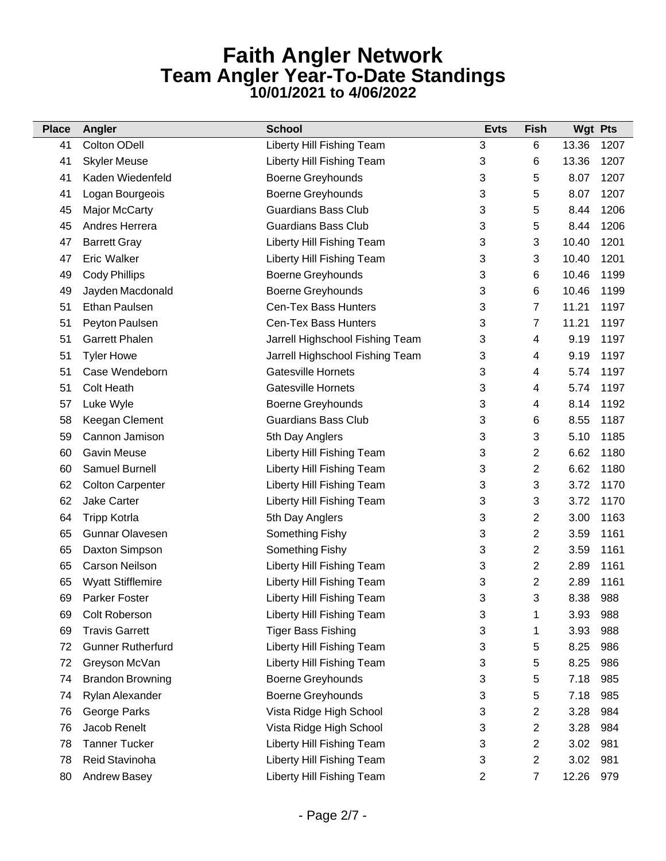| <b>Place</b> | Angler                   | <b>School</b>                   | <b>Evts</b> | <b>Fish</b>    | <b>Wgt Pts</b> |      |
|--------------|--------------------------|---------------------------------|-------------|----------------|----------------|------|
| 41           | <b>Colton ODell</b>      | Liberty Hill Fishing Team       | 3           | 6              | 13.36          | 1207 |
| 41           | <b>Skyler Meuse</b>      | Liberty Hill Fishing Team       | 3           | 6              | 13.36          | 1207 |
| 41           | Kaden Wiedenfeld         | <b>Boerne Greyhounds</b>        | 3           | 5              | 8.07           | 1207 |
| 41           | Logan Bourgeois          | <b>Boerne Greyhounds</b>        | 3           | 5              | 8.07           | 1207 |
| 45           | Major McCarty            | <b>Guardians Bass Club</b>      | 3           | 5              | 8.44           | 1206 |
| 45           | Andres Herrera           | <b>Guardians Bass Club</b>      | 3           | 5              | 8.44           | 1206 |
| 47           | <b>Barrett Gray</b>      | Liberty Hill Fishing Team       | 3           | 3              | 10.40          | 1201 |
| 47           | Eric Walker              | Liberty Hill Fishing Team       | 3           | 3              | 10.40          | 1201 |
| 49           | <b>Cody Phillips</b>     | <b>Boerne Greyhounds</b>        | 3           | 6              | 10.46          | 1199 |
| 49           | Jayden Macdonald         | Boerne Greyhounds               | 3           | 6              | 10.46          | 1199 |
| 51           | Ethan Paulsen            | <b>Cen-Tex Bass Hunters</b>     | 3           | 7              | 11.21          | 1197 |
| 51           | Peyton Paulsen           | <b>Cen-Tex Bass Hunters</b>     | 3           | 7              | 11.21          | 1197 |
| 51           | <b>Garrett Phalen</b>    | Jarrell Highschool Fishing Team | 3           | 4              | 9.19           | 1197 |
| 51           | <b>Tyler Howe</b>        | Jarrell Highschool Fishing Team | 3           | 4              | 9.19           | 1197 |
| 51           | Case Wendeborn           | <b>Gatesville Hornets</b>       | 3           | 4              | 5.74           | 1197 |
| 51           | <b>Colt Heath</b>        | <b>Gatesville Hornets</b>       | 3           | 4              | 5.74           | 1197 |
| 57           | Luke Wyle                | <b>Boerne Greyhounds</b>        | 3           | 4              | 8.14           | 1192 |
| 58           | Keegan Clement           | <b>Guardians Bass Club</b>      | 3           | 6              | 8.55           | 1187 |
| 59           | Cannon Jamison           | 5th Day Anglers                 | 3           | 3              | 5.10           | 1185 |
| 60           | <b>Gavin Meuse</b>       | Liberty Hill Fishing Team       | 3           | 2              | 6.62           | 1180 |
| 60           | Samuel Burnell           | Liberty Hill Fishing Team       | 3           | $\overline{2}$ | 6.62           | 1180 |
| 62           | <b>Colton Carpenter</b>  | Liberty Hill Fishing Team       | 3           | 3              | 3.72           | 1170 |
| 62           | Jake Carter              | Liberty Hill Fishing Team       | 3           | 3              | 3.72           | 1170 |
| 64           | <b>Tripp Kotrla</b>      | 5th Day Anglers                 | 3           | $\overline{2}$ | 3.00           | 1163 |
| 65           | <b>Gunnar Olavesen</b>   | Something Fishy                 | 3           | 2              | 3.59           | 1161 |
| 65           | Daxton Simpson           | Something Fishy                 | 3           | 2              | 3.59           | 1161 |
| 65           | <b>Carson Neilson</b>    | Liberty Hill Fishing Team       | 3           | 2              | 2.89           | 1161 |
| 65           | <b>Wyatt Stifflemire</b> | Liberty Hill Fishing Team       | 3           | $\overline{2}$ | 2.89           | 1161 |
| 69           | Parker Foster            | Liberty Hill Fishing Team       | 3           | 3              | 8.38           | 988  |
| 69           | <b>Colt Roberson</b>     | Liberty Hill Fishing Team       | 3           | 1              | 3.93           | 988  |
| 69           | <b>Travis Garrett</b>    | <b>Tiger Bass Fishing</b>       | 3           | 1              | 3.93           | 988  |
| 72           | <b>Gunner Rutherfurd</b> | Liberty Hill Fishing Team       | 3           | 5              | 8.25           | 986  |
| 72           | Greyson McVan            | Liberty Hill Fishing Team       | 3           | 5              | 8.25           | 986  |
| 74           | <b>Brandon Browning</b>  | <b>Boerne Greyhounds</b>        | 3           | 5              | 7.18           | 985  |
| 74           | Rylan Alexander          | Boerne Greyhounds               | 3           | 5              | 7.18           | 985  |
| 76           | George Parks             | Vista Ridge High School         | 3           | 2              | 3.28           | 984  |
| 76           | Jacob Renelt             | Vista Ridge High School         | 3           | 2              | 3.28           | 984  |
| 78           | <b>Tanner Tucker</b>     | Liberty Hill Fishing Team       | 3           | 2              | 3.02           | 981  |
| 78           | Reid Stavinoha           | Liberty Hill Fishing Team       | 3           | 2              | 3.02           | 981  |
| 80           | Andrew Basey             | Liberty Hill Fishing Team       | 2           | 7              | 12.26          | 979  |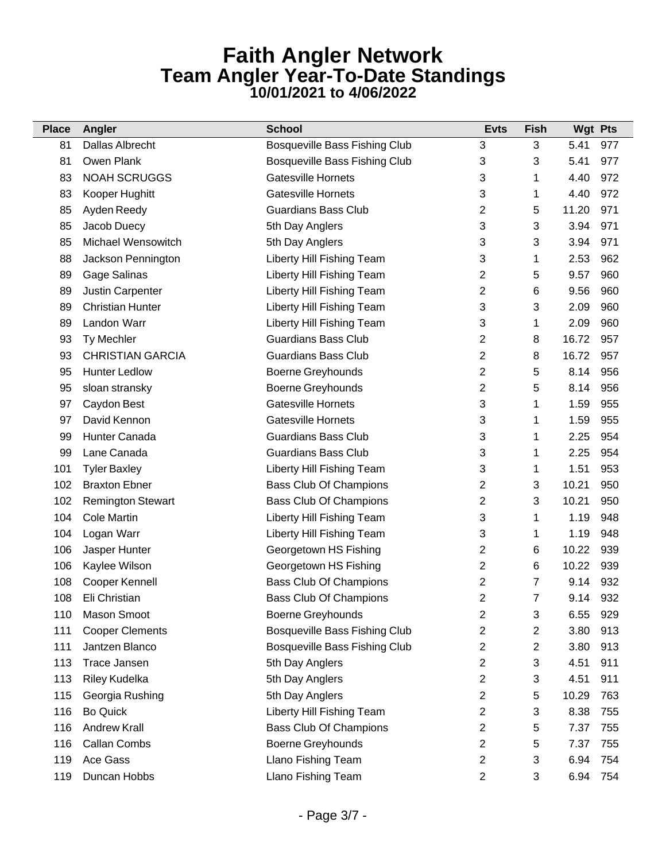| <b>Place</b> | Angler                   | <b>School</b>                        | <b>Evts</b>    | <b>Fish</b>    | <b>Wgt Pts</b> |     |
|--------------|--------------------------|--------------------------------------|----------------|----------------|----------------|-----|
| 81           | Dallas Albrecht          | <b>Bosqueville Bass Fishing Club</b> | 3              | 3              | 5.41           | 977 |
| 81           | Owen Plank               | <b>Bosqueville Bass Fishing Club</b> | 3              | 3              | 5.41           | 977 |
| 83           | <b>NOAH SCRUGGS</b>      | <b>Gatesville Hornets</b>            | 3              | 1              | 4.40           | 972 |
| 83           | Kooper Hughitt           | <b>Gatesville Hornets</b>            | 3              | 1              | 4.40           | 972 |
| 85           | Ayden Reedy              | <b>Guardians Bass Club</b>           | 2              | 5              | 11.20          | 971 |
| 85           | Jacob Duecy              | 5th Day Anglers                      | 3              | 3              | 3.94           | 971 |
| 85           | Michael Wensowitch       | 5th Day Anglers                      | 3              | 3              | 3.94           | 971 |
| 88           | Jackson Pennington       | Liberty Hill Fishing Team            | 3              | 1              | 2.53           | 962 |
| 89           | Gage Salinas             | Liberty Hill Fishing Team            | 2              | 5              | 9.57           | 960 |
| 89           | Justin Carpenter         | Liberty Hill Fishing Team            | 2              | 6              | 9.56           | 960 |
| 89           | <b>Christian Hunter</b>  | Liberty Hill Fishing Team            | 3              | 3              | 2.09           | 960 |
| 89           | Landon Warr              | Liberty Hill Fishing Team            | 3              | 1              | 2.09           | 960 |
| 93           | Ty Mechler               | <b>Guardians Bass Club</b>           | 2              | 8              | 16.72          | 957 |
| 93           | <b>CHRISTIAN GARCIA</b>  | <b>Guardians Bass Club</b>           | 2              | 8              | 16.72          | 957 |
| 95           | <b>Hunter Ledlow</b>     | <b>Boerne Greyhounds</b>             | $\overline{2}$ | 5              | 8.14           | 956 |
| 95           | sloan stransky           | <b>Boerne Greyhounds</b>             | 2              | 5              | 8.14           | 956 |
| 97           | Caydon Best              | <b>Gatesville Hornets</b>            | 3              | 1              | 1.59           | 955 |
| 97           | David Kennon             | <b>Gatesville Hornets</b>            | 3              | 1              | 1.59           | 955 |
| 99           | Hunter Canada            | <b>Guardians Bass Club</b>           | 3              | 1              | 2.25           | 954 |
| 99           | Lane Canada              | <b>Guardians Bass Club</b>           | 3              | 1              | 2.25           | 954 |
| 101          | <b>Tyler Baxley</b>      | Liberty Hill Fishing Team            | 3              | 1              | 1.51           | 953 |
| 102          | <b>Braxton Ebner</b>     | <b>Bass Club Of Champions</b>        | 2              | 3              | 10.21          | 950 |
| 102          | <b>Remington Stewart</b> | <b>Bass Club Of Champions</b>        | 2              | 3              | 10.21          | 950 |
| 104          | <b>Cole Martin</b>       | Liberty Hill Fishing Team            | 3              | 1              | 1.19           | 948 |
| 104          | Logan Warr               | Liberty Hill Fishing Team            | 3              | 1              | 1.19           | 948 |
| 106          | Jasper Hunter            | Georgetown HS Fishing                | 2              | 6              | 10.22          | 939 |
| 106          | Kaylee Wilson            | Georgetown HS Fishing                | 2              | 6              | 10.22          | 939 |
| 108          | Cooper Kennell           | <b>Bass Club Of Champions</b>        | 2              | 7              | 9.14           | 932 |
| 108          | Eli Christian            | <b>Bass Club Of Champions</b>        | 2              | $\overline{7}$ | 9.14           | 932 |
| 110          | <b>Mason Smoot</b>       | <b>Boerne Greyhounds</b>             | 2              | 3              | 6.55           | 929 |
| 111          | <b>Cooper Clements</b>   | <b>Bosqueville Bass Fishing Club</b> | 2              | 2              | 3.80           | 913 |
| 111          | Jantzen Blanco           | <b>Bosqueville Bass Fishing Club</b> | 2              | 2              | 3.80           | 913 |
| 113          | <b>Trace Jansen</b>      | 5th Day Anglers                      | 2              | 3              | 4.51           | 911 |
| 113          | Riley Kudelka            | 5th Day Anglers                      | 2              | 3              | 4.51           | 911 |
| 115          | Georgia Rushing          | 5th Day Anglers                      | 2              | 5              | 10.29          | 763 |
| 116          | <b>Bo Quick</b>          | Liberty Hill Fishing Team            | 2              | 3              | 8.38           | 755 |
| 116          | <b>Andrew Krall</b>      | <b>Bass Club Of Champions</b>        | 2              | 5              | 7.37           | 755 |
| 116          | <b>Callan Combs</b>      | Boerne Greyhounds                    | 2              | 5              | 7.37           | 755 |
| 119          | Ace Gass                 | Llano Fishing Team                   | 2              | 3              | 6.94           | 754 |
| 119          | Duncan Hobbs             | Llano Fishing Team                   | 2              | 3              | 6.94 754       |     |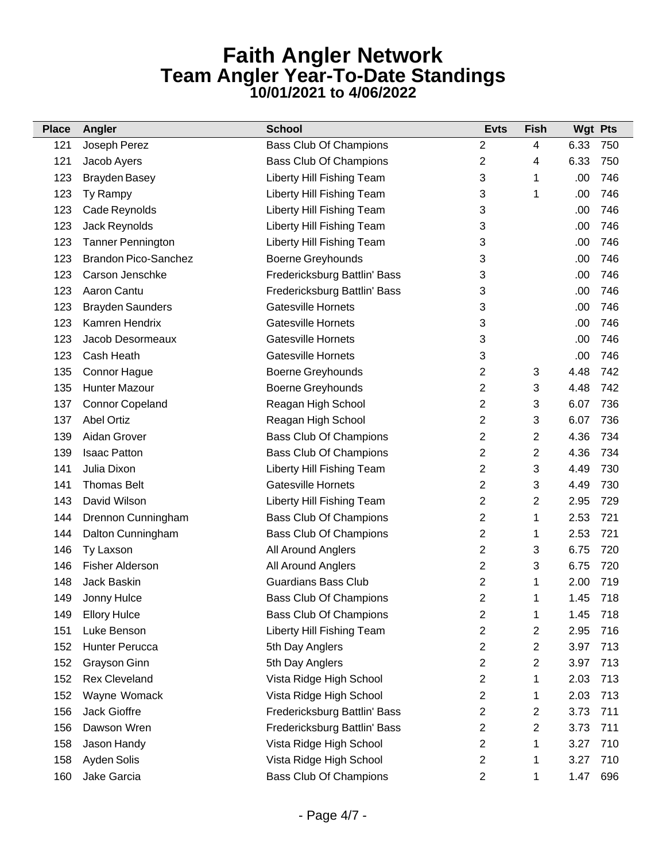| <b>Place</b> | Angler                      | <b>School</b>                 | <b>Evts</b>    | <b>Fish</b>             | <b>Wgt Pts</b> |     |
|--------------|-----------------------------|-------------------------------|----------------|-------------------------|----------------|-----|
| 121          | Joseph Perez                | <b>Bass Club Of Champions</b> | $\overline{2}$ | 4                       | 6.33           | 750 |
| 121          | Jacob Ayers                 | <b>Bass Club Of Champions</b> | 2              | 4                       | 6.33           | 750 |
| 123          | <b>Brayden Basey</b>        | Liberty Hill Fishing Team     | 3              | 1                       | .00            | 746 |
| 123          | Ty Rampy                    | Liberty Hill Fishing Team     | 3              | 1                       | .00            | 746 |
| 123          | Cade Reynolds               | Liberty Hill Fishing Team     | 3              |                         | .00            | 746 |
| 123          | Jack Reynolds               | Liberty Hill Fishing Team     | 3              |                         | .00            | 746 |
| 123          | <b>Tanner Pennington</b>    | Liberty Hill Fishing Team     | 3              |                         | .00            | 746 |
| 123          | <b>Brandon Pico-Sanchez</b> | Boerne Greyhounds             | 3              |                         | .00            | 746 |
| 123          | Carson Jenschke             | Fredericksburg Battlin' Bass  | 3              |                         | .00            | 746 |
| 123          | Aaron Cantu                 | Fredericksburg Battlin' Bass  | 3              |                         | .00            | 746 |
| 123          | <b>Brayden Saunders</b>     | <b>Gatesville Hornets</b>     | 3              |                         | .00            | 746 |
| 123          | Kamren Hendrix              | <b>Gatesville Hornets</b>     | 3              |                         | .00            | 746 |
| 123          | Jacob Desormeaux            | <b>Gatesville Hornets</b>     | 3              |                         | .00            | 746 |
| 123          | Cash Heath                  | <b>Gatesville Hornets</b>     | 3              |                         | .00            | 746 |
| 135          | <b>Connor Hague</b>         | Boerne Greyhounds             | 2              | 3                       | 4.48           | 742 |
| 135          | <b>Hunter Mazour</b>        | Boerne Greyhounds             | 2              | 3                       | 4.48           | 742 |
| 137          | <b>Connor Copeland</b>      | Reagan High School            | 2              | 3                       | 6.07           | 736 |
| 137          | <b>Abel Ortiz</b>           | Reagan High School            | 2              | 3                       | 6.07           | 736 |
| 139          | Aidan Grover                | <b>Bass Club Of Champions</b> | 2              | $\overline{\mathbf{c}}$ | 4.36           | 734 |
| 139          | <b>Isaac Patton</b>         | <b>Bass Club Of Champions</b> | 2              | 2                       | 4.36           | 734 |
| 141          | Julia Dixon                 | Liberty Hill Fishing Team     | 2              | 3                       | 4.49           | 730 |
| 141          | <b>Thomas Belt</b>          | <b>Gatesville Hornets</b>     | 2              | 3                       | 4.49           | 730 |
| 143          | David Wilson                | Liberty Hill Fishing Team     | 2              | 2                       | 2.95           | 729 |
| 144          | Drennon Cunningham          | <b>Bass Club Of Champions</b> | 2              | 1                       | 2.53           | 721 |
| 144          | Dalton Cunningham           | <b>Bass Club Of Champions</b> | 2              | 1                       | 2.53           | 721 |
| 146          | Ty Laxson                   | All Around Anglers            | 2              | 3                       | 6.75           | 720 |
| 146          | <b>Fisher Alderson</b>      | All Around Anglers            | 2              | 3                       | 6.75           | 720 |
| 148          | Jack Baskin                 | <b>Guardians Bass Club</b>    | 2              | 1                       | 2.00           | 719 |
| 149          | Jonny Hulce                 | <b>Bass Club Of Champions</b> | 2              | 1                       | 1.45           | 718 |
| 149          | <b>Ellory Hulce</b>         | <b>Bass Club Of Champions</b> | 2              | 1                       | 1.45           | 718 |
| 151          | Luke Benson                 | Liberty Hill Fishing Team     | 2              | 2                       | 2.95           | 716 |
| 152          | <b>Hunter Perucca</b>       | 5th Day Anglers               | 2              | 2                       | 3.97           | 713 |
| 152          | Grayson Ginn                | 5th Day Anglers               | 2              | 2                       | 3.97           | 713 |
| 152          | <b>Rex Cleveland</b>        | Vista Ridge High School       | 2              | 1                       | 2.03           | 713 |
| 152          | Wayne Womack                | Vista Ridge High School       | 2              | 1                       | 2.03           | 713 |
| 156          | Jack Gioffre                | Fredericksburg Battlin' Bass  | 2              | 2                       | 3.73           | 711 |
| 156          | Dawson Wren                 | Fredericksburg Battlin' Bass  | 2              | 2                       | 3.73           | 711 |
| 158          | Jason Handy                 | Vista Ridge High School       | 2              | 1                       | 3.27           | 710 |
| 158          | Ayden Solis                 | Vista Ridge High School       | 2              | 1                       | 3.27           | 710 |
| 160          | Jake Garcia                 | <b>Bass Club Of Champions</b> | 2              | 1                       | 1.47           | 696 |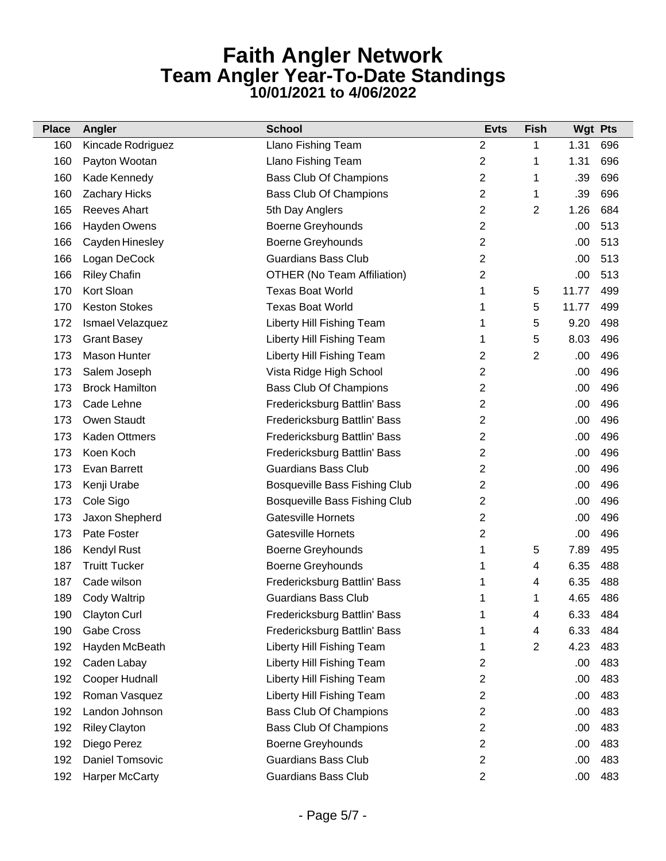| <b>Place</b> | Angler                | <b>School</b>                        | <b>Evts</b> | <b>Fish</b> | <b>Wgt Pts</b> |     |
|--------------|-----------------------|--------------------------------------|-------------|-------------|----------------|-----|
| 160          | Kincade Rodriguez     | Llano Fishing Team                   | 2           | 1           | 1.31           | 696 |
| 160          | Payton Wootan         | <b>Llano Fishing Team</b>            | 2           | 1           | 1.31           | 696 |
| 160          | Kade Kennedy          | <b>Bass Club Of Champions</b>        | 2           | 1           | .39            | 696 |
| 160          | Zachary Hicks         | <b>Bass Club Of Champions</b>        | 2           | 1           | .39            | 696 |
| 165          | Reeves Ahart          | 5th Day Anglers                      | 2           | 2           | 1.26           | 684 |
| 166          | Hayden Owens          | Boerne Greyhounds                    | 2           |             | .00            | 513 |
| 166          | Cayden Hinesley       | <b>Boerne Greyhounds</b>             | 2           |             | .00            | 513 |
| 166          | Logan DeCock          | <b>Guardians Bass Club</b>           | 2           |             | .00            | 513 |
| 166          | <b>Riley Chafin</b>   | <b>OTHER (No Team Affiliation)</b>   | 2           |             | .00            | 513 |
| 170          | Kort Sloan            | <b>Texas Boat World</b>              | 1           | 5           | 11.77          | 499 |
| 170          | <b>Keston Stokes</b>  | <b>Texas Boat World</b>              | 1           | 5           | 11.77          | 499 |
| 172          | Ismael Velazquez      | Liberty Hill Fishing Team            | 1           | 5           | 9.20           | 498 |
| 173          | <b>Grant Basey</b>    | Liberty Hill Fishing Team            | 1           | 5           | 8.03           | 496 |
| 173          | Mason Hunter          | Liberty Hill Fishing Team            | 2           | 2           | .00            | 496 |
| 173          | Salem Joseph          | Vista Ridge High School              | 2           |             | .00            | 496 |
| 173          | <b>Brock Hamilton</b> | <b>Bass Club Of Champions</b>        | 2           |             | .00            | 496 |
| 173          | Cade Lehne            | Fredericksburg Battlin' Bass         | 2           |             | .00            | 496 |
| 173          | Owen Staudt           | Fredericksburg Battlin' Bass         | 2           |             | .00            | 496 |
| 173          | <b>Kaden Ottmers</b>  | Fredericksburg Battlin' Bass         | 2           |             | .00            | 496 |
| 173          | Koen Koch             | Fredericksburg Battlin' Bass         | 2           |             | .00            | 496 |
| 173          | Evan Barrett          | <b>Guardians Bass Club</b>           | 2           |             | .00            | 496 |
| 173          | Kenji Urabe           | Bosqueville Bass Fishing Club        | 2           |             | .00            | 496 |
| 173          | Cole Sigo             | <b>Bosqueville Bass Fishing Club</b> | 2           |             | .00            | 496 |
| 173          | Jaxon Shepherd        | <b>Gatesville Hornets</b>            | 2           |             | .00            | 496 |
| 173          | Pate Foster           | <b>Gatesville Hornets</b>            | 2           |             | .00            | 496 |
| 186          | Kendyl Rust           | Boerne Greyhounds                    | 1           | 5           | 7.89           | 495 |
| 187          | <b>Truitt Tucker</b>  | Boerne Greyhounds                    | 1           | 4           | 6.35           | 488 |
| 187          | Cade wilson           | Fredericksburg Battlin' Bass         | 1           | 4           | 6.35           | 488 |
| 189          | <b>Cody Waltrip</b>   | <b>Guardians Bass Club</b>           | 1           | 1           | 4.65           | 486 |
| 190          | <b>Clayton Curl</b>   | Fredericksburg Battlin' Bass         | 1           | 4           | 6.33           | 484 |
| 190          | <b>Gabe Cross</b>     | Fredericksburg Battlin' Bass         |             | 4           | 6.33           | 484 |
| 192          | Hayden McBeath        | Liberty Hill Fishing Team            | 1           | 2           | 4.23           | 483 |
| 192          | Caden Labay           | Liberty Hill Fishing Team            | 2           |             | .00            | 483 |
| 192          | Cooper Hudnall        | Liberty Hill Fishing Team            | 2           |             | .00.           | 483 |
| 192          | Roman Vasquez         | Liberty Hill Fishing Team            | 2           |             | .00.           | 483 |
| 192          | Landon Johnson        | Bass Club Of Champions               | 2           |             | .00            | 483 |
| 192          | <b>Riley Clayton</b>  | Bass Club Of Champions               | 2           |             | .00            | 483 |
| 192          | Diego Perez           | Boerne Greyhounds                    | 2           |             | .00            | 483 |
| 192          | Daniel Tomsovic       | <b>Guardians Bass Club</b>           | 2           |             | .00            | 483 |
| 192          | <b>Harper McCarty</b> | <b>Guardians Bass Club</b>           | 2           |             | .00.           | 483 |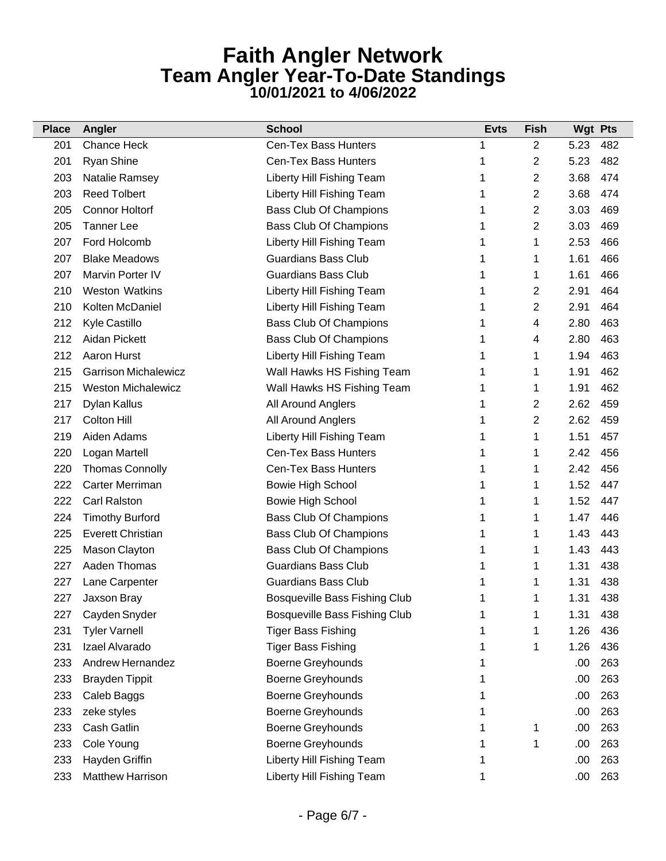| <b>Place</b> | Angler                      | <b>School</b>                        | <b>Evts</b> | <b>Fish</b> | <b>Wgt Pts</b> |     |
|--------------|-----------------------------|--------------------------------------|-------------|-------------|----------------|-----|
| 201          | <b>Chance Heck</b>          | <b>Cen-Tex Bass Hunters</b>          | 1           | 2           | 5.23           | 482 |
| 201          | Ryan Shine                  | <b>Cen-Tex Bass Hunters</b>          | 1           | 2           | 5.23           | 482 |
| 203          | Natalie Ramsey              | Liberty Hill Fishing Team            | 1           | 2           | 3.68           | 474 |
| 203          | <b>Reed Tolbert</b>         | Liberty Hill Fishing Team            | 1           | 2           | 3.68           | 474 |
| 205          | <b>Connor Holtorf</b>       | Bass Club Of Champions               | 1           | 2           | 3.03           | 469 |
| 205          | Tanner Lee                  | <b>Bass Club Of Champions</b>        | 1           | 2           | 3.03           | 469 |
| 207          | Ford Holcomb                | Liberty Hill Fishing Team            | 1           | 1           | 2.53           | 466 |
| 207          | <b>Blake Meadows</b>        | <b>Guardians Bass Club</b>           |             | 1           | 1.61           | 466 |
| 207          | Marvin Porter IV            | <b>Guardians Bass Club</b>           |             | 1           | 1.61           | 466 |
| 210          | <b>Weston Watkins</b>       | Liberty Hill Fishing Team            | 1           | 2           | 2.91           | 464 |
| 210          | Kolten McDaniel             | Liberty Hill Fishing Team            |             | 2           | 2.91           | 464 |
| 212          | Kyle Castillo               | <b>Bass Club Of Champions</b>        | 1           | 4           | 2.80           | 463 |
| 212          | Aidan Pickett               | <b>Bass Club Of Champions</b>        |             | 4           | 2.80           | 463 |
| 212          | <b>Aaron Hurst</b>          | Liberty Hill Fishing Team            | 1           | 1           | 1.94           | 463 |
| 215          | <b>Garrison Michalewicz</b> | Wall Hawks HS Fishing Team           |             | 1           | 1.91           | 462 |
| 215          | <b>Weston Michalewicz</b>   | Wall Hawks HS Fishing Team           | 1           | 1           | 1.91           | 462 |
| 217          | Dylan Kallus                | All Around Anglers                   |             | 2           | 2.62           | 459 |
| 217          | <b>Colton Hill</b>          | All Around Anglers                   | 1           | 2           | 2.62           | 459 |
| 219          | Aiden Adams                 | Liberty Hill Fishing Team            |             | 1           | 1.51           | 457 |
| 220          | Logan Martell               | <b>Cen-Tex Bass Hunters</b>          | 1           | 1           | 2.42           | 456 |
| 220          | <b>Thomas Connolly</b>      | <b>Cen-Tex Bass Hunters</b>          | 1           | 1           | 2.42           | 456 |
| 222          | Carter Merriman             | Bowie High School                    | 1           | 1           | 1.52           | 447 |
| 222          | <b>Carl Ralston</b>         | <b>Bowie High School</b>             | 1           | 1           | 1.52           | 447 |
| 224          | <b>Timothy Burford</b>      | Bass Club Of Champions               | 1           | 1           | 1.47           | 446 |
| 225          | <b>Everett Christian</b>    | <b>Bass Club Of Champions</b>        | 1           | 1           | 1.43           | 443 |
| 225          | Mason Clayton               | Bass Club Of Champions               | 1           | 1           | 1.43           | 443 |
| 227          | Aaden Thomas                | <b>Guardians Bass Club</b>           | 1           | 1           | 1.31           | 438 |
| 227          | Lane Carpenter              | <b>Guardians Bass Club</b>           | 1           | 1           | 1.31           | 438 |
| 227          | Jaxson Bray                 | <b>Bosqueville Bass Fishing Club</b> | 1           | 1           | 1.31           | 438 |
| 227          | Cayden Snyder               | <b>Bosqueville Bass Fishing Club</b> | 1           | 1           | 1.31           | 438 |
| 231          | <b>Tyler Varnell</b>        | <b>Tiger Bass Fishing</b>            |             | 1           | 1.26           | 436 |
| 231          | Izael Alvarado              | <b>Tiger Bass Fishing</b>            |             | 1           | 1.26           | 436 |
| 233          | Andrew Hernandez            | <b>Boerne Greyhounds</b>             |             |             | .00            | 263 |
| 233          | <b>Brayden Tippit</b>       | <b>Boerne Greyhounds</b>             |             |             | .00            | 263 |
| 233          | Caleb Baggs                 | <b>Boerne Greyhounds</b>             |             |             | .00            | 263 |
| 233          | zeke styles                 | <b>Boerne Greyhounds</b>             |             |             | .00            | 263 |
| 233          | Cash Gatlin                 | <b>Boerne Greyhounds</b>             |             | 1           | .00            | 263 |
| 233          | Cole Young                  | Boerne Greyhounds                    |             | 1           | .00            | 263 |
| 233          | Hayden Griffin              | Liberty Hill Fishing Team            |             |             | .00            | 263 |
| 233          | <b>Matthew Harrison</b>     | Liberty Hill Fishing Team            | 1           |             | .00.           | 263 |